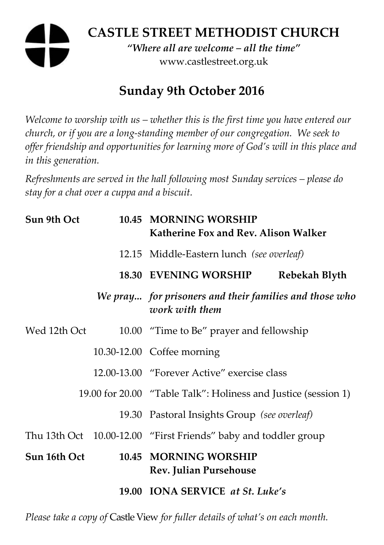# **CASTLE STREET METHODIST CHURCH**  *"Where all are welcome – all the time"*  www.castlestreet.org.uk

## **Sunday 9th October 2016**

*Welcome to worship with us – whether this is the first time you have entered our church, or if you are a long-standing member of our congregation. We seek to offer friendship and opportunities for learning more of God's will in this place and in this generation.* 

*Refreshments are served in the hall following most Sunday services – please do stay for a chat over a cuppa and a biscuit.* 

| Sun 9th Oct  | 10.45 MORNING WORSHIP<br>Katherine Fox and Rev. Alison Walker            |               |
|--------------|--------------------------------------------------------------------------|---------------|
|              | 12.15 Middle-Eastern lunch (see overleaf)                                |               |
|              | 18.30 EVENING WORSHIP                                                    | Rebekah Blyth |
|              | We pray for prisoners and their families and those who<br>work with them |               |
| Wed 12th Oct | 10.00 "Time to Be" prayer and fellowship                                 |               |
|              | 10.30-12.00 Coffee morning                                               |               |
|              | 12.00-13.00 "Forever Active" exercise class                              |               |
|              | 19.00 for 20.00 "Table Talk": Holiness and Justice (session 1)           |               |
|              | 19.30 Pastoral Insights Group (see overleaf)                             |               |
|              | Thu 13th Oct 10.00-12.00 "First Friends" baby and toddler group          |               |
| Sun 16th Oct | 10.45 MORNING WORSHIP<br><b>Rev. Julian Pursehouse</b>                   |               |
|              | 19.00 IONA SERVICE at St. Luke's                                         |               |

*Please take a copy of* Castle View *for fuller details of what's on each month.*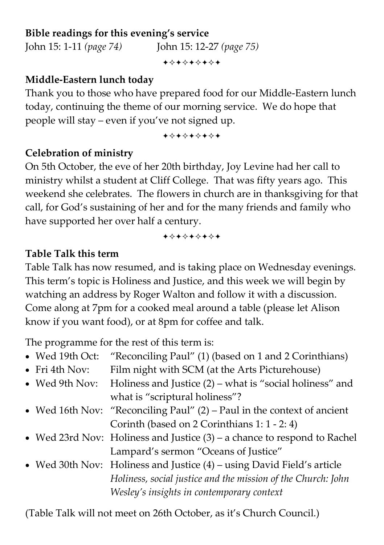### **Bible readings for this evening's service**

John 15: 1-11 *(page 74)* John 15: 12-27 *(page 75)*

+\*\*\*\*\*\*\*

#### **Middle-Eastern lunch today**

Thank you to those who have prepared food for our Middle-Eastern lunch today, continuing the theme of our morning service. We do hope that people will stay – even if you've not signed up.

+\*\*\*\*\*\*\*

## **Celebration of ministry**

On 5th October, the eve of her 20th birthday, Joy Levine had her call to ministry whilst a student at Cliff College. That was fifty years ago. This weekend she celebrates. The flowers in church are in thanksgiving for that call, for God's sustaining of her and for the many friends and family who have supported her over half a century.

+\*\*\*\*\*\*\*

## **Table Talk this term**

Table Talk has now resumed, and is taking place on Wednesday evenings. This term's topic is Holiness and Justice, and this week we will begin by watching an address by Roger Walton and follow it with a discussion. Come along at 7pm for a cooked meal around a table (please let Alison know if you want food), or at 8pm for coffee and talk.

The programme for the rest of this term is:

| • Wed 19th Oct:        | "Reconciling Paul" (1) (based on 1 and 2 Corinthians)                      |
|------------------------|----------------------------------------------------------------------------|
| $\bullet$ Fri 4th Nov: | Film night with SCM (at the Arts Picturehouse)                             |
| • Wed 9th Nov:         | Holiness and Justice $(2)$ – what is "social holiness" and                 |
|                        | what is "scriptural holiness"?                                             |
|                        | • Wed 16th Nov: "Reconciling Paul" (2) – Paul in the context of ancient    |
|                        | Corinth (based on 2 Corinthians 1: 1 - 2: 4)                               |
|                        | • Wed 23rd Nov: Holiness and Justice $(3)$ – a chance to respond to Rachel |
|                        | Lampard's sermon "Oceans of Justice"                                       |
|                        | • Wed 30th Nov: Holiness and Justice (4) – using David Field's article     |
|                        | Holiness, social justice and the mission of the Church: John               |
|                        | Wesley's insights in contemporary context                                  |
|                        |                                                                            |

(Table Talk will not meet on 26th October, as it's Church Council.)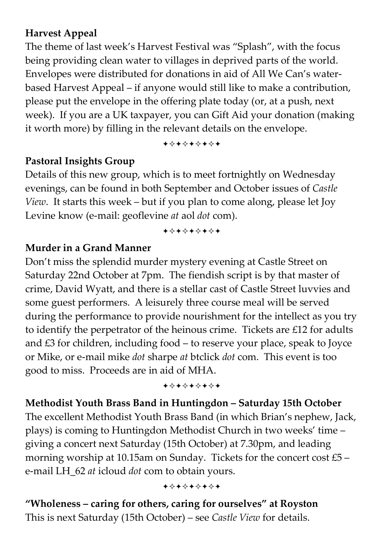## **Harvest Appeal**

The theme of last week's Harvest Festival was "Splash", with the focus being providing clean water to villages in deprived parts of the world. Envelopes were distributed for donations in aid of All We Can's waterbased Harvest Appeal – if anyone would still like to make a contribution, please put the envelope in the offering plate today (or, at a push, next week). If you are a UK taxpayer, you can Gift Aid your donation (making it worth more) by filling in the relevant details on the envelope.

+\*\*\*\*\*\*\*

#### **Pastoral Insights Group**

Details of this new group, which is to meet fortnightly on Wednesday evenings, can be found in both September and October issues of *Castle View*. It starts this week – but if you plan to come along, please let Joy Levine know (e-mail: geoflevine *at* aol *dot* com).

+\*\*\*\*\*\*\*

#### **Murder in a Grand Manner**

Don't miss the splendid murder mystery evening at Castle Street on Saturday 22nd October at 7pm. The fiendish script is by that master of crime, David Wyatt, and there is a stellar cast of Castle Street luvvies and some guest performers. A leisurely three course meal will be served during the performance to provide nourishment for the intellect as you try to identify the perpetrator of the heinous crime. Tickets are £12 for adults and £3 for children, including food – to reserve your place, speak to Joyce or Mike, or e-mail mike *dot* sharpe *at* btclick *dot* com. This event is too good to miss. Proceeds are in aid of MHA.

+\*+\*\*\*\*\*

**Methodist Youth Brass Band in Huntingdon – Saturday 15th October**  The excellent Methodist Youth Brass Band (in which Brian's nephew, Jack, plays) is coming to Huntingdon Methodist Church in two weeks' time – giving a concert next Saturday (15th October) at 7.30pm, and leading morning worship at 10.15am on Sunday. Tickets for the concert cost £5 – e-mail LH\_62 *at* icloud *dot* com to obtain yours.

+\*+\*\*\*\*\*

**"Wholeness – caring for others, caring for ourselves" at Royston**  This is next Saturday (15th October) – see *Castle View* for details.